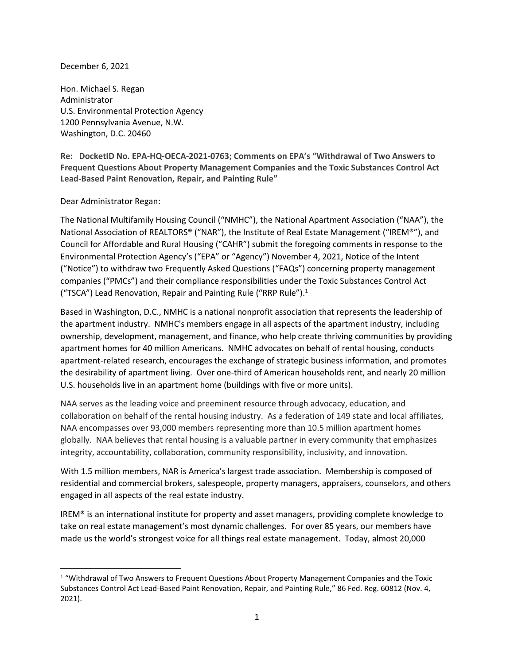## December 6, 2021

Hon. Michael S. Regan Administrator U.S. Environmental Protection Agency 1200 Pennsylvania Avenue, N.W. Washington, D.C. 20460

**Re: DocketID No. EPA-HQ-OECA-2021-0763; Comments on EPA's "Withdrawal of Two Answers to Frequent Questions About Property Management Companies and the Toxic Substances Control Act Lead-Based Paint Renovation, Repair, and Painting Rule"**

Dear Administrator Regan:

The National Multifamily Housing Council ("NMHC"), the National Apartment Association ("NAA"), the National Association of REALTORS® ("NAR"), the Institute of Real Estate Management ("IREM®"), and Council for Affordable and Rural Housing ("CAHR") submit the foregoing comments in response to the Environmental Protection Agency's ("EPA" or "Agency") November 4, 2021, Notice of the Intent ("Notice") to withdraw two Frequently Asked Questions ("FAQs") concerning property management companies ("PMCs") and their compliance responsibilities under the Toxic Substances Control Act ("TSCA") Lead Renovation, Repair and Painting Rule ("RRP Rule").<sup>1</sup>

Based in Washington, D.C., NMHC is a national nonprofit association that represents the leadership of the apartment industry. NMHC's members engage in all aspects of the apartment industry, including ownership, development, management, and finance, who help create thriving communities by providing apartment homes for 40 million Americans. NMHC advocates on behalf of rental housing, conducts apartment-related research, encourages the exchange of strategic business information, and promotes the desirability of apartment living. Over one-third of American households rent, and nearly 20 million U.S. households live in an apartment home (buildings with five or more units).

NAA serves as the leading voice and preeminent resource through advocacy, education, and collaboration on behalf of the rental housing industry. As a federation of 149 state and local affiliates, NAA encompasses over 93,000 members representing more than 10.5 million apartment homes globally. NAA believes that rental housing is a valuable partner in every community that emphasizes integrity, accountability, collaboration, community responsibility, inclusivity, and innovation.

With 1.5 million members, NAR is America's largest trade association. Membership is composed of residential and commercial brokers, salespeople, property managers, appraisers, counselors, and others engaged in all aspects of the real estate industry.

IREM® is an international institute for property and asset managers, providing complete knowledge to take on real estate management's most dynamic challenges. For over 85 years, our members have made us the world's strongest voice for all things real estate management. Today, almost 20,000

<sup>1</sup> "Withdrawal of Two Answers to Frequent Questions About Property Management Companies and the Toxic Substances Control Act Lead-Based Paint Renovation, Repair, and Painting Rule," 86 Fed. Reg. 60812 (Nov. 4, 2021).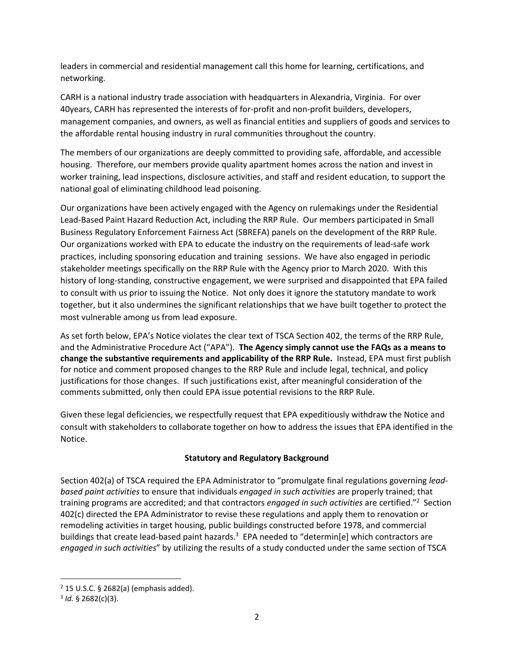leaders in commercial and residential management call this home for learning, certifications, and networking.

CARH is a national industry trade association with headquarters in Alexandria, Virginia. For over 40years, CARH has represented the interests of for-profit and non-profit builders, developers, management companies, and owners, as well as financial entities and suppliers of goods and services to the affordable rental housing industry in rural communities throughout the country.

The members of our organizations are deeply committed to providing safe, affordable, and accessible housing. Therefore, our members provide quality apartment homes across the nation and invest in worker training, lead inspections, disclosure activities, and staff and resident education, to support the national goal of eliminating childhood lead poisoning.

Our organizations have been actively engaged with the Agency on rulemakings under the Residential Lead-Based Paint Hazard Reduction Act, including the RRP Rule. Our members participated in Small Business Regulatory Enforcement Fairness Act (SBREFA) panels on the development of the RRP Rule. Our organizations worked with EPA to educate the industry on the requirements of lead-safe work practices, including sponsoring education and training sessions. We have also engaged in periodic stakeholder meetings specifically on the RRP Rule with the Agency prior to March 2020. With this history of long-standing, constructive engagement, we were surprised and disappointed that EPA failed to consult with us prior to issuing the Notice. Not only does it ignore the statutory mandate to work together, but it also undermines the significant relationships that we have built together to protect the most vulnerable among us from lead exposure.

As set forth below, EPA's Notice violates the clear text of TSCA Section 402, the terms of the RRP Rule, and the Administrative Procedure Act ("APA"). **The Agency simply cannot use the FAQs as a means to change the substantive requirements and applicability of the RRP Rule.** Instead, EPA must first publish for notice and comment proposed changes to the RRP Rule and include legal, technical, and policy justifications for those changes. If such justifications exist, after meaningful consideration of the comments submitted, only then could EPA issue potential revisions to the RRP Rule.

Given these legal deficiencies, we respectfully request that EPA expeditiously withdraw the Notice and consult with stakeholders to collaborate together on how to address the issues that EPA identified in the Notice.

# **Statutory and Regulatory Background**

Section 402(a) of TSCA required the EPA Administrator to "promulgate final regulations governing *leadbased paint activities* to ensure that individuals *engaged in such activities* are properly trained; that training programs are accredited; and that contractors *engaged in such activities* are certified."<sup>2</sup> Section 402(c) directed the EPA Administrator to revise these regulations and apply them to renovation or remodeling activities in target housing, public buildings constructed before 1978, and commercial buildings that create lead-based paint hazards.<sup>3</sup> EPA needed to "determin[e] which contractors are *engaged in such activities*" by utilizing the results of a study conducted under the same section of TSCA

 $2$  15 U.S.C. § 2682(a) (emphasis added).

<sup>3</sup> *Id.* § 2682(c)(3).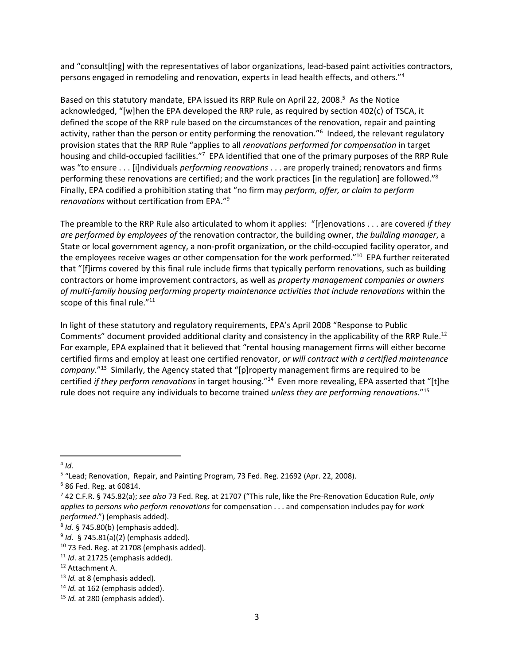and "consult[ing] with the representatives of labor organizations, lead-based paint activities contractors, persons engaged in remodeling and renovation, experts in lead health effects, and others."<sup>4</sup>

Based on this statutory mandate, EPA issued its RRP Rule on April 22, 2008.<sup>5</sup> As the Notice acknowledged, "[w]hen the EPA developed the RRP rule, as required by section 402(c) of TSCA, it defined the scope of the RRP rule based on the circumstances of the renovation, repair and painting activity, rather than the person or entity performing the renovation."<sup>6</sup> Indeed, the relevant regulatory provision states that the RRP Rule "applies to all *renovations performed for compensation* in target housing and child-occupied facilities."<sup>7</sup> EPA identified that one of the primary purposes of the RRP Rule was "to ensure . . . [i]ndividuals *performing renovations* . . . are properly trained; renovators and firms performing these renovations are certified; and the work practices [in the regulation] are followed."<sup>8</sup> Finally, EPA codified a prohibition stating that "no firm may *perform, offer, or claim to perform renovations* without certification from EPA."<sup>9</sup>

The preamble to the RRP Rule also articulated to whom it applies: "[r]enovations . . . are covered *if they are performed by employees of* the renovation contractor, the building owner, *the building manager*, a State or local government agency, a non-profit organization, or the child-occupied facility operator, and the employees receive wages or other compensation for the work performed."<sup>10</sup> EPA further reiterated that "[f]irms covered by this final rule include firms that typically perform renovations, such as building contractors or home improvement contractors, as well as *property management companies or owners of multi-family housing performing property maintenance activities that include renovations* within the scope of this final rule."<sup>11</sup>

In light of these statutory and regulatory requirements, EPA's April 2008 "Response to Public Comments" document provided additional clarity and consistency in the applicability of the RRP Rule.<sup>12</sup> For example, EPA explained that it believed that "rental housing management firms will either become certified firms and employ at least one certified renovator, *or will contract with a certified maintenance company*."<sup>13</sup> Similarly, the Agency stated that "[p]roperty management firms are required to be certified *if they perform renovations* in target housing."<sup>14</sup> Even more revealing, EPA asserted that "[t]he rule does not require any individuals to become trained *unless they are performing renovations*."<sup>15</sup>

<sup>4</sup> *Id.*

<sup>&</sup>lt;sup>5</sup> "Lead; Renovation, Repair, and Painting Program, 73 Fed. Reg. 21692 (Apr. 22, 2008).

<sup>6</sup> 86 Fed. Reg. at 60814.

<sup>7</sup> 42 C.F.R. § 745.82(a); *see also* 73 Fed. Reg. at 21707 ("This rule, like the Pre-Renovation Education Rule, *only applies to persons who perform renovations* for compensation . . . and compensation includes pay for *work performed*.") (emphasis added).

<sup>8</sup> *Id.* § 745.80(b) (emphasis added).

<sup>9</sup> *Id.* § 745.81(a)(2) (emphasis added).

 $10$  73 Fed. Reg. at 21708 (emphasis added).

<sup>11</sup> *Id*. at 21725 (emphasis added).

<sup>12</sup> Attachment A.

<sup>13</sup> *Id.* at 8 (emphasis added).

<sup>&</sup>lt;sup>14</sup> *Id.* at 162 (emphasis added).

<sup>15</sup> *Id.* at 280 (emphasis added).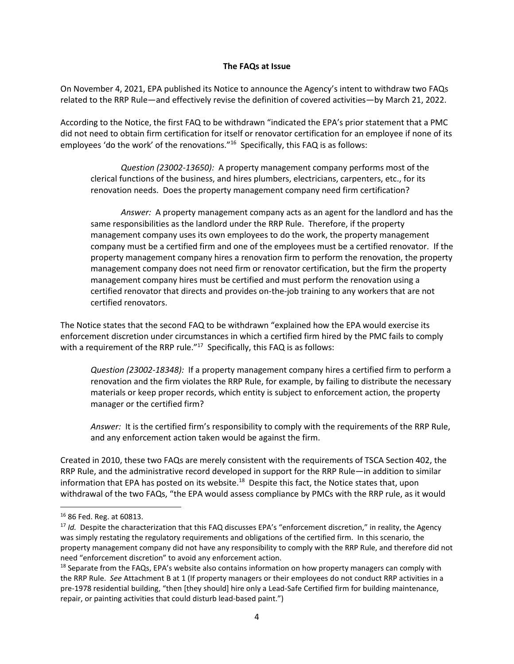#### **The FAQs at Issue**

On November 4, 2021, EPA published its Notice to announce the Agency's intent to withdraw two FAQs related to the RRP Rule—and effectively revise the definition of covered activities—by March 21, 2022.

According to the Notice, the first FAQ to be withdrawn "indicated the EPA's prior statement that a PMC did not need to obtain firm certification for itself or renovator certification for an employee if none of its employees 'do the work' of the renovations."<sup>16</sup> Specifically, this FAQ is as follows:

*Question (23002-13650):* A property management company performs most of the clerical functions of the business, and hires plumbers, electricians, carpenters, etc., for its renovation needs. Does the property management company need firm certification?

*Answer:* A property management company acts as an agent for the landlord and has the same responsibilities as the landlord under the RRP Rule. Therefore, if the property management company uses its own employees to do the work, the property management company must be a certified firm and one of the employees must be a certified renovator. If the property management company hires a renovation firm to perform the renovation, the property management company does not need firm or renovator certification, but the firm the property management company hires must be certified and must perform the renovation using a certified renovator that directs and provides on-the-job training to any workers that are not certified renovators.

The Notice states that the second FAQ to be withdrawn "explained how the EPA would exercise its enforcement discretion under circumstances in which a certified firm hired by the PMC fails to comply with a requirement of the RRP rule."<sup>17</sup> Specifically, this FAQ is as follows:

*Question (23002-18348):* If a property management company hires a certified firm to perform a renovation and the firm violates the RRP Rule, for example, by failing to distribute the necessary materials or keep proper records, which entity is subject to enforcement action, the property manager or the certified firm?

*Answer:* It is the certified firm's responsibility to comply with the requirements of the RRP Rule, and any enforcement action taken would be against the firm.

Created in 2010, these two FAQs are merely consistent with the requirements of TSCA Section 402, the RRP Rule, and the administrative record developed in support for the RRP Rule—in addition to similar information that EPA has posted on its website.<sup>18</sup> Despite this fact, the Notice states that, upon withdrawal of the two FAQs, "the EPA would assess compliance by PMCs with the RRP rule, as it would

<sup>16</sup> 86 Fed. Reg. at 60813.

<sup>&</sup>lt;sup>17</sup> *Id.* Despite the characterization that this FAQ discusses EPA's "enforcement discretion," in reality, the Agency was simply restating the regulatory requirements and obligations of the certified firm. In this scenario, the property management company did not have any responsibility to comply with the RRP Rule, and therefore did not need "enforcement discretion" to avoid any enforcement action.

<sup>&</sup>lt;sup>18</sup> Separate from the FAQs, EPA's website also contains information on how property managers can comply with the RRP Rule. *See* Attachment B at 1 (If property managers or their employees do not conduct RRP activities in a pre-1978 residential building, "then [they should] hire only a Lead-Safe Certified firm for building maintenance, repair, or painting activities that could disturb lead-based paint.")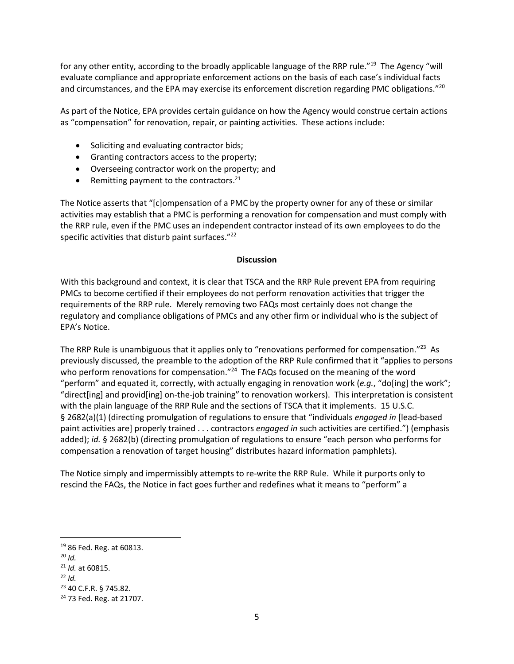for any other entity, according to the broadly applicable language of the RRP rule."<sup>19</sup> The Agency "will evaluate compliance and appropriate enforcement actions on the basis of each case's individual facts and circumstances, and the EPA may exercise its enforcement discretion regarding PMC obligations."<sup>20</sup>

As part of the Notice, EPA provides certain guidance on how the Agency would construe certain actions as "compensation" for renovation, repair, or painting activities. These actions include:

- Soliciting and evaluating contractor bids;
- Granting contractors access to the property;
- Overseeing contractor work on the property; and
- Remitting payment to the contractors. $21$

The Notice asserts that "[c]ompensation of a PMC by the property owner for any of these or similar activities may establish that a PMC is performing a renovation for compensation and must comply with the RRP rule, even if the PMC uses an independent contractor instead of its own employees to do the specific activities that disturb paint surfaces."<sup>22</sup>

#### **Discussion**

With this background and context, it is clear that TSCA and the RRP Rule prevent EPA from requiring PMCs to become certified if their employees do not perform renovation activities that trigger the requirements of the RRP rule. Merely removing two FAQs most certainly does not change the regulatory and compliance obligations of PMCs and any other firm or individual who is the subject of EPA's Notice.

The RRP Rule is unambiguous that it applies only to "renovations performed for compensation."<sup>23</sup> As previously discussed, the preamble to the adoption of the RRP Rule confirmed that it "applies to persons who perform renovations for compensation."<sup>24</sup> The FAQs focused on the meaning of the word "perform" and equated it, correctly, with actually engaging in renovation work (*e.g.*, "do[ing] the work"; "direct[ing] and provid[ing] on-the-job training" to renovation workers). This interpretation is consistent with the plain language of the RRP Rule and the sections of TSCA that it implements. 15 U.S.C. § 2682(a)(1) (directing promulgation of regulations to ensure that "individuals *engaged in* [lead-based paint activities are] properly trained . . . contractors *engaged in* such activities are certified.") (emphasis added); *id.* § 2682(b) (directing promulgation of regulations to ensure "each person who performs for compensation a renovation of target housing" distributes hazard information pamphlets).

The Notice simply and impermissibly attempts to re-write the RRP Rule. While it purports only to rescind the FAQs, the Notice in fact goes further and redefines what it means to "perform" a

<sup>19</sup> 86 Fed. Reg. at 60813.

<sup>20</sup> *Id.*

<sup>21</sup> *Id.* at 60815.

 $22$  *Id.* 

<sup>23</sup> 40 C.F.R. § 745.82.

<sup>24</sup> 73 Fed. Reg. at 21707.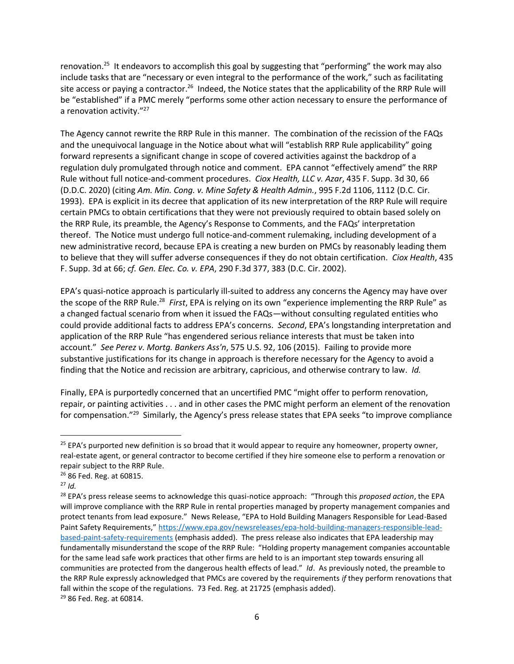renovation.<sup>25</sup> It endeavors to accomplish this goal by suggesting that "performing" the work may also include tasks that are "necessary or even integral to the performance of the work," such as facilitating site access or paying a contractor.<sup>26</sup> Indeed, the Notice states that the applicability of the RRP Rule will be "established" if a PMC merely "performs some other action necessary to ensure the performance of a renovation activity."<sup>27</sup>

The Agency cannot rewrite the RRP Rule in this manner. The combination of the recission of the FAQs and the unequivocal language in the Notice about what will "establish RRP Rule applicability" going forward represents a significant change in scope of covered activities against the backdrop of a regulation duly promulgated through notice and comment. EPA cannot "effectively amend" the RRP Rule without full notice-and-comment procedures. *Ciox Health, LLC v. Azar*, 435 F. Supp. 3d 30, 66 (D.D.C. 2020) (citing *Am. Min. Cong. v. Mine Safety & Health Admin.*, 995 F.2d 1106, 1112 (D.C. Cir. 1993). EPA is explicit in its decree that application of its new interpretation of the RRP Rule will require certain PMCs to obtain certifications that they were not previously required to obtain based solely on the RRP Rule, its preamble, the Agency's Response to Comments, and the FAQs' interpretation thereof. The Notice must undergo full notice-and-comment rulemaking, including development of a new administrative record, because EPA is creating a new burden on PMCs by reasonably leading them to believe that they will suffer adverse consequences if they do not obtain certification. *Ciox Health*, 435 F. Supp. 3d at 66; *cf. Gen. Elec. Co. v. EPA*, 290 F.3d 377, 383 (D.C. Cir. 2002).

EPA's quasi-notice approach is particularly ill-suited to address any concerns the Agency may have over the scope of the RRP Rule.<sup>28</sup> *First*, EPA is relying on its own "experience implementing the RRP Rule" as a changed factual scenario from when it issued the FAQs—without consulting regulated entities who could provide additional facts to address EPA's concerns. *Second*, EPA's longstanding interpretation and application of the RRP Rule "has engendered serious reliance interests that must be taken into account." *See Perez v. Mortg. Bankers Ass'n*, 575 U.S. 92, 106 (2015). Failing to provide more substantive justifications for its change in approach is therefore necessary for the Agency to avoid a finding that the Notice and recission are arbitrary, capricious, and otherwise contrary to law. *Id.*

Finally, EPA is purportedly concerned that an uncertified PMC "might offer to perform renovation, repair, or painting activities . . . and in other cases the PMC might perform an element of the renovation for compensation."<sup>29</sup> Similarly, the Agency's press release states that EPA seeks "to improve compliance

<sup>&</sup>lt;sup>25</sup> EPA's purported new definition is so broad that it would appear to require any homeowner, property owner, real-estate agent, or general contractor to become certified if they hire someone else to perform a renovation or repair subject to the RRP Rule.

<sup>&</sup>lt;sup>26</sup> 86 Fed. Reg. at 60815.

 $27$  *Id.* 

<sup>28</sup> EPA's press release seems to acknowledge this quasi-notice approach: "Through this *proposed action*, the EPA will improve compliance with the RRP Rule in rental properties managed by property management companies and protect tenants from lead exposure." News Release, "EPA to Hold Building Managers Responsible for Lead-Based Paint Safety Requirements," [https://www.epa.gov/newsreleases/epa-hold-building-managers-responsible-lead](https://www.epa.gov/newsreleases/epa-hold-building-managers-responsible-lead-based-paint-safety-requirements)[based-paint-safety-requirements](https://www.epa.gov/newsreleases/epa-hold-building-managers-responsible-lead-based-paint-safety-requirements) (emphasis added). The press release also indicates that EPA leadership may fundamentally misunderstand the scope of the RRP Rule: "Holding property management companies accountable for the same lead safe work practices that other firms are held to is an important step towards ensuring all communities are protected from the dangerous health effects of lead." *Id*. As previously noted, the preamble to the RRP Rule expressly acknowledged that PMCs are covered by the requirements *if* they perform renovations that fall within the scope of the regulations. 73 Fed. Reg. at 21725 (emphasis added). <sup>29</sup> 86 Fed. Reg. at 60814.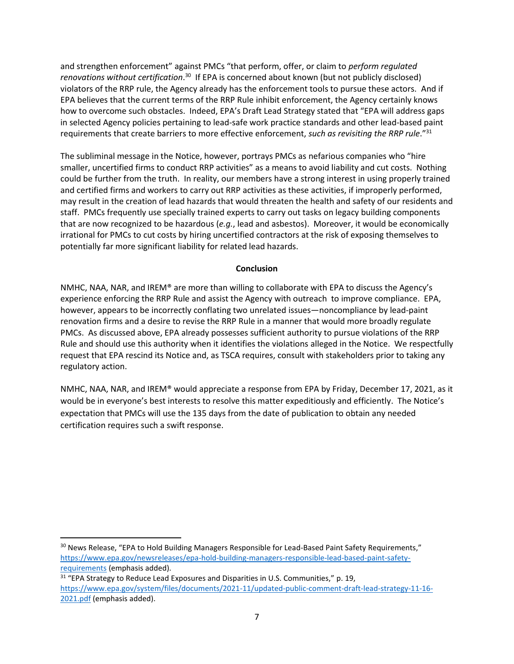and strengthen enforcement" against PMCs "that perform, offer, or claim to *perform regulated renovations without certification*. <sup>30</sup> If EPA is concerned about known (but not publicly disclosed) violators of the RRP rule, the Agency already has the enforcement tools to pursue these actors. And if EPA believes that the current terms of the RRP Rule inhibit enforcement, the Agency certainly knows how to overcome such obstacles. Indeed, EPA's Draft Lead Strategy stated that "EPA will address gaps in selected Agency policies pertaining to lead-safe work practice standards and other lead-based paint requirements that create barriers to more effective enforcement, *such as revisiting the RRP rule*."<sup>31</sup>

The subliminal message in the Notice, however, portrays PMCs as nefarious companies who "hire smaller, uncertified firms to conduct RRP activities" as a means to avoid liability and cut costs. Nothing could be further from the truth. In reality, our members have a strong interest in using properly trained and certified firms and workers to carry out RRP activities as these activities, if improperly performed, may result in the creation of lead hazards that would threaten the health and safety of our residents and staff. PMCs frequently use specially trained experts to carry out tasks on legacy building components that are now recognized to be hazardous (*e.g.*, lead and asbestos). Moreover, it would be economically irrational for PMCs to cut costs by hiring uncertified contractors at the risk of exposing themselves to potentially far more significant liability for related lead hazards.

# **Conclusion**

NMHC, NAA, NAR, and IREM® are more than willing to collaborate with EPA to discuss the Agency's experience enforcing the RRP Rule and assist the Agency with outreach to improve compliance. EPA, however, appears to be incorrectly conflating two unrelated issues—noncompliance by lead-paint renovation firms and a desire to revise the RRP Rule in a manner that would more broadly regulate PMCs. As discussed above, EPA already possesses sufficient authority to pursue violations of the RRP Rule and should use this authority when it identifies the violations alleged in the Notice. We respectfully request that EPA rescind its Notice and, as TSCA requires, consult with stakeholders prior to taking any regulatory action.

NMHC, NAA, NAR, and IREM® would appreciate a response from EPA by Friday, December 17, 2021, as it would be in everyone's best interests to resolve this matter expeditiously and efficiently. The Notice's expectation that PMCs will use the 135 days from the date of publication to obtain any needed certification requires such a swift response.

<sup>&</sup>lt;sup>30</sup> News Release, "EPA to Hold Building Managers Responsible for Lead-Based Paint Safety Requirements," [https://www.epa.gov/newsreleases/epa-hold-building-managers-responsible-lead-based-paint-safety](https://www.epa.gov/newsreleases/epa-hold-building-managers-responsible-lead-based-paint-safety-requirements)[requirements](https://www.epa.gov/newsreleases/epa-hold-building-managers-responsible-lead-based-paint-safety-requirements) (emphasis added).

<sup>&</sup>lt;sup>31</sup> "EPA Strategy to Reduce Lead Exposures and Disparities in U.S. Communities," p. 19, [https://www.epa.gov/system/files/documents/2021-11/updated-public-comment-draft-lead-strategy-11-16-](https://www.epa.gov/system/files/documents/2021-11/updated-public-comment-draft-lead-strategy-11-16-2021.pdf) [2021.pdf](https://www.epa.gov/system/files/documents/2021-11/updated-public-comment-draft-lead-strategy-11-16-2021.pdf) (emphasis added).